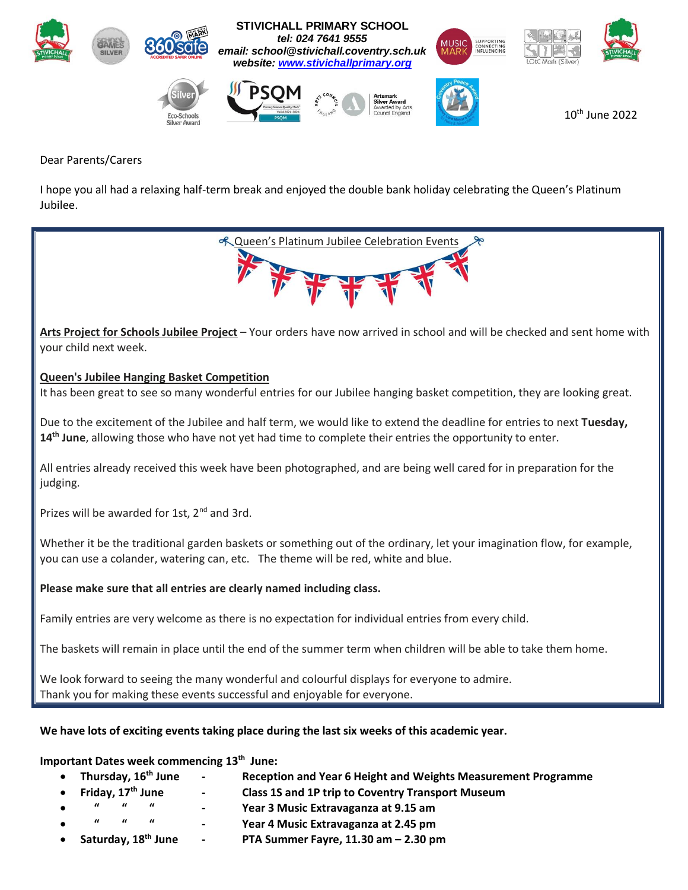

#### Dear Parents/Carers

I hope you all had a relaxing half-term break and enjoyed the double bank holiday celebrating the Queen's Platinum Jubilee.



 **Thursday, 16th June - Reception and Year 6 Height and Weights Measurement Programme Friday, 17th June - Class 1S and 1P trip to Coventry Transport Museum " " " - Year 3 Music Extravaganza at 9.15 am " " " - Year 4 Music Extravaganza at 2.45 pm Saturday, 18 th June - PTA Summer Fayre, 11.30 am – 2.30 pm**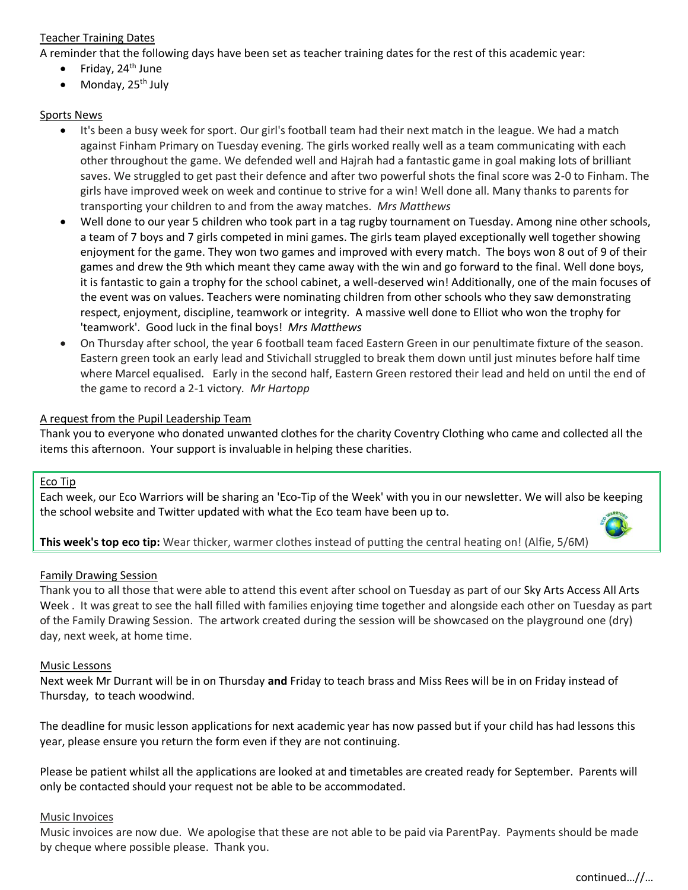# Teacher Training Dates

A reminder that the following days have been set as teacher training dates for the rest of this academic year:

- Friday,  $24<sup>th</sup>$  June
- $\bullet$  Monday, 25<sup>th</sup> July

# Sports News

- It's been a busy week for sport. Our girl's football team had their next match in the league. We had a match against Finham Primary on Tuesday evening. The girls worked really well as a team communicating with each other throughout the game. We defended well and Hajrah had a fantastic game in goal making lots of brilliant saves. We struggled to get past their defence and after two powerful shots the final score was 2-0 to Finham. The girls have improved week on week and continue to strive for a win! Well done all. Many thanks to parents for transporting your children to and from the away matches. *Mrs Matthews*
- Well done to our year 5 children who took part in a tag rugby tournament on Tuesday. Among nine other schools, a team of 7 boys and 7 girls competed in mini games. The girls team played exceptionally well together showing enjoyment for the game. They won two games and improved with every match. The boys won 8 out of 9 of their games and drew the 9th which meant they came away with the win and go forward to the final. Well done boys, it is fantastic to gain a trophy for the school cabinet, a well-deserved win! Additionally, one of the main focuses of the event was on values. Teachers were nominating children from other schools who they saw demonstrating respect, enjoyment, discipline, teamwork or integrity. A massive well done to Elliot who won the trophy for 'teamwork'. Good luck in the final boys! *Mrs Matthews*
- On Thursday after school, the year 6 football team faced Eastern Green in our penultimate fixture of the season. Eastern green took an early lead and Stivichall struggled to break them down until just minutes before half time where Marcel equalised. Early in the second half, Eastern Green restored their lead and held on until the end of the game to record a 2-1 victory*. Mr Hartopp*

# A request from the Pupil Leadership Team

Thank you to everyone who donated unwanted clothes for the charity Coventry Clothing who came and collected all the items this afternoon. Your support is invaluable in helping these charities.

#### Eco Tip

Each week, our Eco Warriors will be sharing an 'Eco-Tip of the Week' with you in our newsletter. We will also be keeping the school website and Twitter updated with what the Eco team have been up to.

# **This week's top eco tip:** Wear thicker, warmer clothes instead of putting the central heating on! (Alfie, 5/6M)

#### Family Drawing Session

Thank you to all those that were able to attend this event after school on Tuesday as part of our Sky Arts Access All Arts Week . It was great to see the hall filled with families enjoying time together and alongside each other on Tuesday as part of the Family Drawing Session. The artwork created during the session will be showcased on the playground one (dry) day, next week, at home time.

#### Music Lessons

Next week Mr Durrant will be in on Thursday **and** Friday to teach brass and Miss Rees will be in on Friday instead of Thursday, to teach woodwind.

The deadline for music lesson applications for next academic year has now passed but if your child has had lessons this year, please ensure you return the form even if they are not continuing.

Please be patient whilst all the applications are looked at and timetables are created ready for September. Parents will only be contacted should your request not be able to be accommodated.

#### Music Invoices

Music invoices are now due. We apologise that these are not able to be paid via ParentPay. Payments should be made by cheque where possible please. Thank you.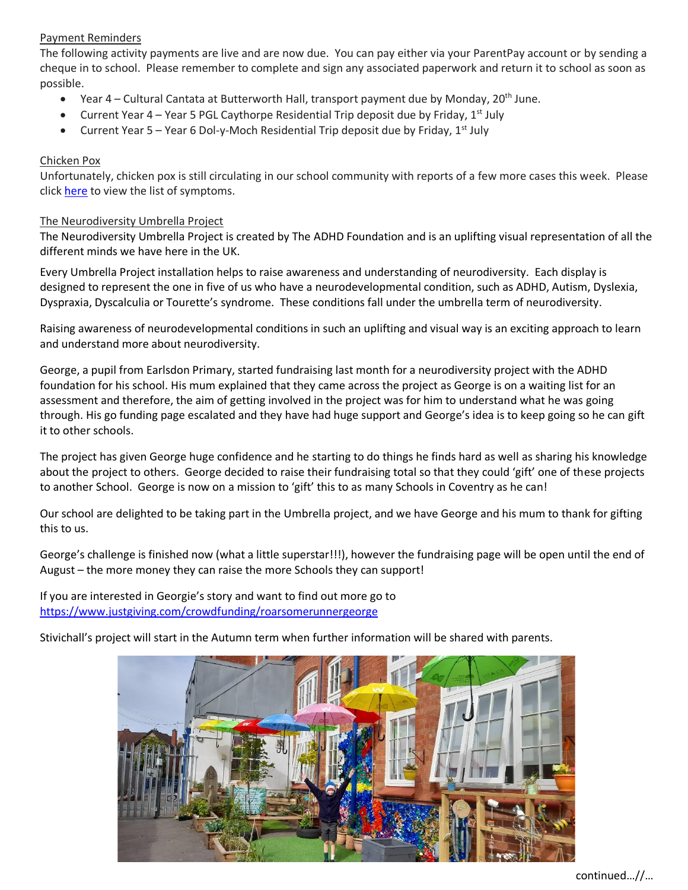# Payment Reminders

The following activity payments are live and are now due. You can pay either via your ParentPay account or by sending a cheque in to school. Please remember to complete and sign any associated paperwork and return it to school as soon as possible.

- Year  $4$  Cultural Cantata at Butterworth Hall, transport payment due by Monday,  $20^{th}$  June.
- Current Year 4 Year 5 PGL Caythorpe Residential Trip deposit due by Friday,  $1^{st}$  July
- Current Year 5 Year 6 Dol-y-Moch Residential Trip deposit due by Friday,  $1^{st}$  July

#### Chicken Pox

Unfortunately, chicken pox is still circulating in our school community with reports of a few more cases this week. Please click [here](https://www.nhs.uk/conditions/chickenpox/?src=conditionswidget) to view the list of symptoms.

#### The Neurodiversity Umbrella Project

The Neurodiversity Umbrella Project is created by The ADHD Foundation and is an uplifting visual representation of all the different minds we have here in the UK.

Every Umbrella Project installation helps to raise awareness and understanding of neurodiversity. Each display is designed to represent the one in five of us who have a neurodevelopmental condition, such as ADHD, Autism, Dyslexia, Dyspraxia, Dyscalculia or Tourette's syndrome. These conditions fall under the umbrella term of neurodiversity.

Raising awareness of neurodevelopmental conditions in such an uplifting and visual way is an exciting approach to learn and understand more about neurodiversity.

George, a pupil from Earlsdon Primary, started fundraising last month for a neurodiversity project with the ADHD foundation for his school. His mum explained that they came across the project as George is on a waiting list for an assessment and therefore, the aim of getting involved in the project was for him to understand what he was going through. His go funding page escalated and they have had huge support and George's idea is to keep going so he can gift it to other schools.

The project has given George huge confidence and he starting to do things he finds hard as well as sharing his knowledge about the project to others. George decided to raise their fundraising total so that they could 'gift' one of these projects to another School. George is now on a mission to 'gift' this to as many Schools in Coventry as he can!

Our school are delighted to be taking part in the Umbrella project, and we have George and his mum to thank for gifting this to us.

George's challenge is finished now (what a little superstar!!!), however the fundraising page will be open until the end of August – the more money they can raise the more Schools they can support!

If you are interested in Georgie's story and want to find out more go to <https://www.justgiving.com/crowdfunding/roarsomerunnergeorge>

Stivichall's project will start in the Autumn term when further information will be shared with parents.



continued…//…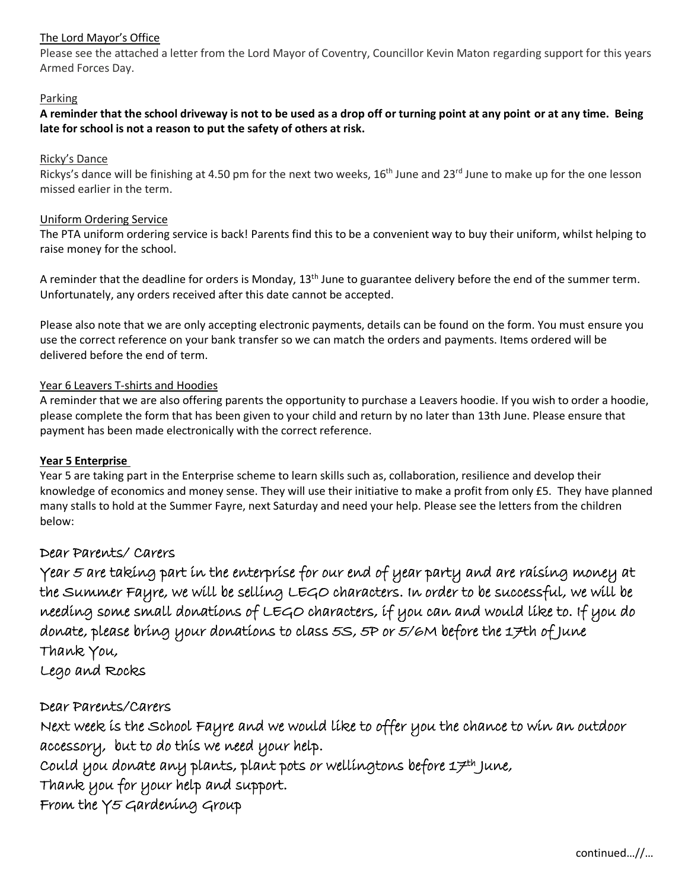# The Lord Mayor's Office

Please see the attached a letter from the Lord Mayor of Coventry, Councillor Kevin Maton regarding support for this years Armed Forces Day.

## **Parking**

**A reminder that the school driveway is not to be used as a drop off or turning point at any point or at any time. Being late for school is not a reason to put the safety of others at risk.**

## Ricky's Dance

Rickys's dance will be finishing at 4.50 pm for the next two weeks, 16<sup>th</sup> June and 23<sup>rd</sup> June to make up for the one lesson missed earlier in the term.

# Uniform Ordering Service

The PTA uniform ordering service is back! Parents find this to be a convenient way to buy their uniform, whilst helping to raise money for the school.

A reminder that the deadline for orders is Monday,  $13<sup>th</sup>$  June to guarantee delivery before the end of the summer term. Unfortunately, any orders received after this date cannot be accepted.

Please also note that we are only accepting electronic payments, details can be found on the form. You must ensure you use the correct reference on your bank transfer so we can match the orders and payments. Items ordered will be delivered before the end of term.

# Year 6 Leavers T-shirts and Hoodies

A reminder that we are also offering parents the opportunity to purchase a Leavers hoodie. If you wish to order a hoodie, please complete the form that has been given to your child and return by no later than 13th June. Please ensure that payment has been made electronically with the correct reference.

# **Year 5 Enterprise**

Year 5 are taking part in the Enterprise scheme to learn skills such as, collaboration, resilience and develop their knowledge of economics and money sense. They will use their initiative to make a profit from only £5. They have planned many stalls to hold at the Summer Fayre, next Saturday and need your help. Please see the letters from the children below:

# Dear Parents/ Carers

Year 5 are taking part in the enterprise for our end of year party and are raising money at the Summer Fayre, we will be selling LEGO characters. In order to be successful, we will be needing some small donations of LEGO characters, if you can and would like to. If you do donate, please bring your donations to class 5S, 5P or 5/6M before the 17th of June Thank You,

Lego and Rocks

# Dear Parents/Carers

Next week is the School Fayre and we would like to offer you the chance to win an outdoor accessory, but to do this we need your help.

 $\emph{could you doante any plants, plant pots or wellingtons before 17th June,}$ 

Thank you for your help and support.

From the Y5 Gardening Group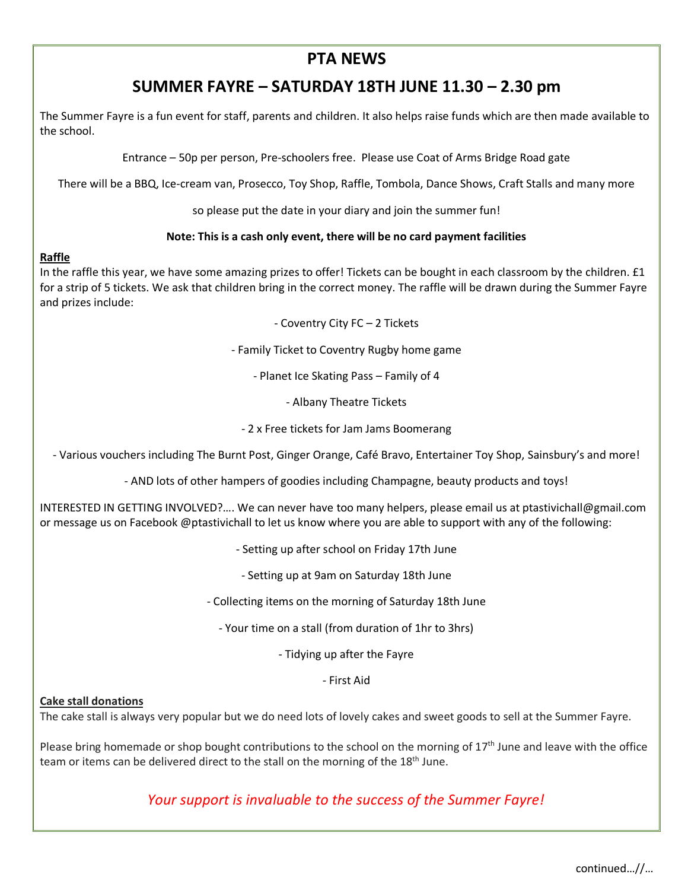# **PTA NEWS**

# **SUMMER FAYRE – SATURDAY 18TH JUNE 11.30 – 2.30 pm**

The Summer Fayre is a fun event for staff, parents and children. It also helps raise funds which are then made available to the school.

Entrance – 50p per person, Pre-schoolers free. Please use Coat of Arms Bridge Road gate

There will be a BBQ, Ice-cream van, Prosecco, Toy Shop, Raffle, Tombola, Dance Shows, Craft Stalls and many more

so please put the date in your diary and join the summer fun!

# **Note: This is a cash only event, there will be no card payment facilities**

# **Raffle**

In the raffle this year, we have some amazing prizes to offer! Tickets can be bought in each classroom by the children. £1 for a strip of 5 tickets. We ask that children bring in the correct money. The raffle will be drawn during the Summer Fayre and prizes include:

- Coventry City FC – 2 Tickets

- Family Ticket to Coventry Rugby home game

- Planet Ice Skating Pass – Family of 4

- Albany Theatre Tickets

- 2 x Free tickets for Jam Jams Boomerang

- Various vouchers including The Burnt Post, Ginger Orange, Café Bravo, Entertainer Toy Shop, Sainsbury's and more!

- AND lots of other hampers of goodies including Champagne, beauty products and toys!

INTERESTED IN GETTING INVOLVED?…. We can never have too many helpers, please email us at ptastivichall@gmail.com or message us on Facebook @ptastivichall to let us know where you are able to support with any of the following:

- Setting up after school on Friday 17th June

- Setting up at 9am on Saturday 18th June

- Collecting items on the morning of Saturday 18th June

- Your time on a stall (from duration of 1hr to 3hrs)

- Tidying up after the Fayre

- First Aid

#### **Cake stall donations**

The cake stall is always very popular but we do need lots of lovely cakes and sweet goods to sell at the Summer Fayre.

Please bring homemade or shop bought contributions to the school on the morning of  $17<sup>th</sup>$  June and leave with the office team or items can be delivered direct to the stall on the morning of the 18<sup>th</sup> June.

*Your support is invaluable to the success of the Summer Fayre!*